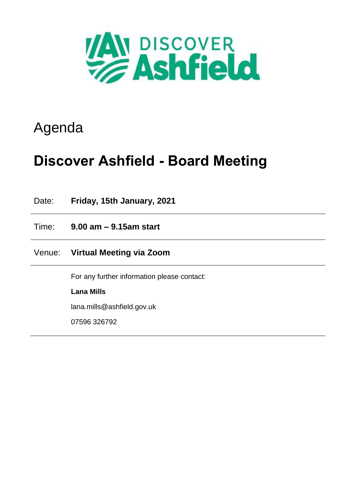

# Agenda

# **Discover Ashfield - Board Meeting**

Date: **Friday, 15th January, 2021** Time: **9.00 am – 9.15am start** Venue: **Virtual Meeting via Zoom** For any further information please contact: **Lana Mills** lana.mills@ashfield.gov.uk 07596 326792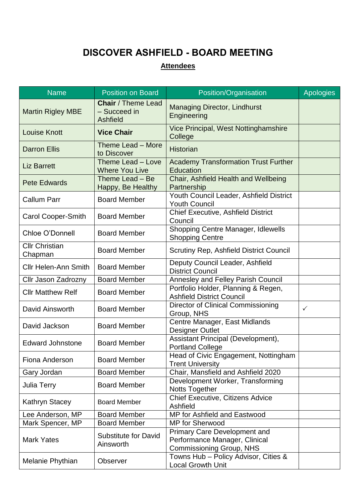### **DISCOVER ASHFIELD - BOARD MEETING**

### **Attendees**

| <b>Name</b>                      | <b>Position on Board</b>                                     | Position/Organisation                                                                                   | <b>Apologies</b> |
|----------------------------------|--------------------------------------------------------------|---------------------------------------------------------------------------------------------------------|------------------|
| <b>Martin Rigley MBE</b>         | <b>Chair</b> / Theme Lead<br>- Succeed in<br><b>Ashfield</b> | <b>Managing Director, Lindhurst</b><br>Engineering                                                      |                  |
| <b>Louise Knott</b>              | <b>Vice Chair</b>                                            | Vice Principal, West Nottinghamshire<br>College                                                         |                  |
| <b>Darron Ellis</b>              | Theme Lead - More<br>to Discover                             | <b>Historian</b>                                                                                        |                  |
| <b>Liz Barrett</b>               | Theme Lead - Love<br><b>Where You Live</b>                   | <b>Academy Transformation Trust Further</b><br><b>Education</b>                                         |                  |
| <b>Pete Edwards</b>              | Theme Lead - Be<br>Happy, Be Healthy                         | Chair, Ashfield Health and Wellbeing<br>Partnership                                                     |                  |
| <b>Callum Parr</b>               | <b>Board Member</b>                                          | Youth Council Leader, Ashfield District<br><b>Youth Council</b>                                         |                  |
| <b>Carol Cooper-Smith</b>        | <b>Board Member</b>                                          | <b>Chief Executive, Ashfield District</b><br>Council                                                    |                  |
| Chloe O'Donnell                  | <b>Board Member</b>                                          | <b>Shopping Centre Manager, Idlewells</b><br><b>Shopping Centre</b>                                     |                  |
| <b>Cllr Christian</b><br>Chapman | <b>Board Member</b>                                          | <b>Scrutiny Rep, Ashfield District Council</b>                                                          |                  |
| <b>Cllr Helen-Ann Smith</b>      | <b>Board Member</b>                                          | Deputy Council Leader, Ashfield<br><b>District Council</b>                                              |                  |
| Cllr Jason Zadrozny              | <b>Board Member</b>                                          | Annesley and Felley Parish Council                                                                      |                  |
| <b>Cllr Matthew Relf</b>         | <b>Board Member</b>                                          | Portfolio Holder, Planning & Regen,<br><b>Ashfield District Council</b>                                 |                  |
| David Ainsworth                  | <b>Board Member</b>                                          | Director of Clinical Commissioning<br>Group, NHS                                                        | ✓                |
| David Jackson                    | <b>Board Member</b>                                          | Centre Manager, East Midlands<br><b>Designer Outlet</b>                                                 |                  |
| <b>Edward Johnstone</b>          | <b>Board Member</b>                                          | Assistant Principal (Development),<br><b>Portland College</b>                                           |                  |
| Fiona Anderson                   | <b>Board Member</b>                                          | Head of Civic Engagement, Nottingham<br><b>Trent University</b>                                         |                  |
| Gary Jordan                      | <b>Board Member</b>                                          | Chair, Mansfield and Ashfield 2020                                                                      |                  |
| <b>Julia Terry</b>               | <b>Board Member</b>                                          | Development Worker, Transforming<br><b>Notts Together</b>                                               |                  |
| <b>Kathryn Stacey</b>            | <b>Board Member</b>                                          | Chief Executive, Citizens Advice<br>Ashfield                                                            |                  |
| Lee Anderson, MP                 | <b>Board Member</b>                                          | MP for Ashfield and Eastwood                                                                            |                  |
| Mark Spencer, MP                 | <b>Board Member</b>                                          | <b>MP</b> for Sherwood                                                                                  |                  |
| <b>Mark Yates</b>                | <b>Substitute for David</b><br>Ainsworth                     | <b>Primary Care Development and</b><br>Performance Manager, Clinical<br><b>Commissioning Group, NHS</b> |                  |
| Melanie Phythian                 | <b>Observer</b>                                              | Towns Hub - Policy Advisor, Cities &<br><b>Local Growth Unit</b>                                        |                  |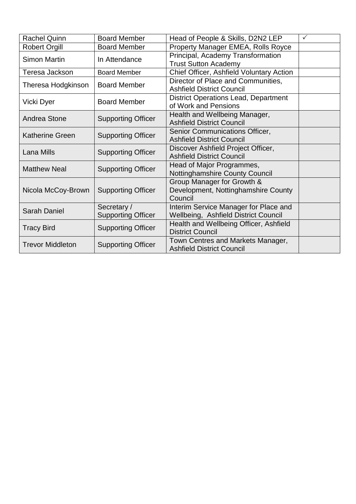| <b>Rachel Quinn</b>     | <b>Board Member</b>                      | Head of People & Skills, D2N2 LEP                                             | ✓ |
|-------------------------|------------------------------------------|-------------------------------------------------------------------------------|---|
| <b>Robert Orgill</b>    | <b>Board Member</b>                      | Property Manager EMEA, Rolls Royce                                            |   |
| <b>Simon Martin</b>     | In Attendance                            | Principal, Academy Transformation<br><b>Trust Sutton Academy</b>              |   |
| Teresa Jackson          | <b>Board Member</b>                      | Chief Officer, Ashfield Voluntary Action                                      |   |
| Theresa Hodgkinson      | <b>Board Member</b>                      | Director of Place and Communities,<br><b>Ashfield District Council</b>        |   |
| Vicki Dyer              | <b>Board Member</b>                      | <b>District Operations Lead, Department</b><br>of Work and Pensions           |   |
| Andrea Stone            | <b>Supporting Officer</b>                | Health and Wellbeing Manager,<br><b>Ashfield District Council</b>             |   |
| <b>Katherine Green</b>  | <b>Supporting Officer</b>                | Senior Communications Officer,<br><b>Ashfield District Council</b>            |   |
| <b>Lana Mills</b>       | <b>Supporting Officer</b>                | Discover Ashfield Project Officer,<br><b>Ashfield District Council</b>        |   |
| <b>Matthew Neal</b>     | <b>Supporting Officer</b>                | Head of Major Programmes,<br>Nottinghamshire County Council                   |   |
| Nicola McCoy-Brown      | <b>Supporting Officer</b>                | Group Manager for Growth &<br>Development, Nottinghamshire County<br>Council  |   |
| <b>Sarah Daniel</b>     | Secretary /<br><b>Supporting Officer</b> | Interim Service Manager for Place and<br>Wellbeing, Ashfield District Council |   |
| <b>Tracy Bird</b>       | <b>Supporting Officer</b>                | Health and Wellbeing Officer, Ashfield<br><b>District Council</b>             |   |
| <b>Trevor Middleton</b> | <b>Supporting Officer</b>                | Town Centres and Markets Manager,<br><b>Ashfield District Council</b>         |   |